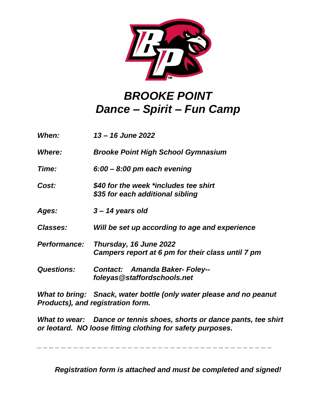

## *BROOKE POINT Dance – Spirit – Fun Camp*

| When:               | 13 – 16 June 2022                                                           |
|---------------------|-----------------------------------------------------------------------------|
| <b>Where:</b>       | <b>Brooke Point High School Gymnasium</b>                                   |
| Time:               | $6:00 - 8:00$ pm each evening                                               |
| Cost:               | \$40 for the week *includes tee shirt<br>\$35 for each additional sibling   |
| Ages:               | $3 - 14$ years old                                                          |
| <b>Classes:</b>     | Will be set up according to age and experience                              |
| <b>Performance:</b> | Thursday, 16 June 2022<br>Campers report at 6 pm for their class until 7 pm |
| <b>Questions:</b>   | <b>Contact: Amanda Baker-Foley--</b><br>foleyas@staffordschools.net         |

*What to bring: Snack, water bottle (only water please and no peanut Products), and registration form.*

*What to wear: Dance or tennis shoes, shorts or dance pants, tee shirt or leotard. NO loose fitting clothing for safety purposes.* 

*\_ \_ \_ \_ \_ \_ \_ \_ \_ \_ \_ \_ \_ \_ \_ \_ \_ \_ \_ \_ \_ \_ \_ \_ \_ \_ \_ \_ \_ \_ \_ \_ \_ \_ \_ \_ \_ \_ \_* 

*Registration form is attached and must be completed and signed!*